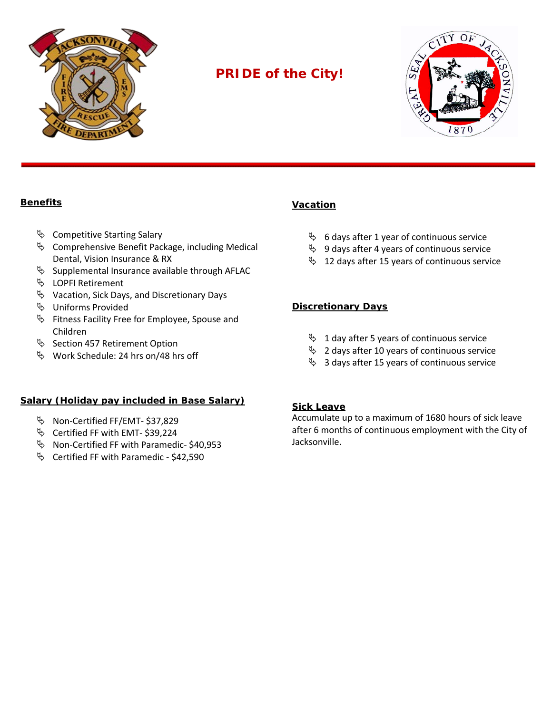

# **PRIDE of the City!**



## **Benefits**

- $\%$  Competitive Starting Salary
- $\%$  Comprehensive Benefit Package, including Medical Dental, Vision Insurance & RX
- $\%$  Supplemental Insurance available through AFLAC
- LOPFI Retirement
- $\%$  Vacation, Sick Days, and Discretionary Days
- **W** Uniforms Provided
- $\%$  Fitness Facility Free for Employee, Spouse and Children
- $\%$  Section 457 Retirement Option
- $\%$  Work Schedule: 24 hrs on/48 hrs off

## **Salary (Holiday pay included in Base Salary)**

- Non-Certified FF/EMT- \$37,829
- Certified FF with EMT- \$39,224
- $\%$  Non-Certified FF with Paramedic- \$40,953
- $\%$  Certified FF with Paramedic \$42,590

## **Vacation**

- $\%$  6 days after 1 year of continuous service
- $\%$  9 days after 4 years of continuous service
- $\%$  12 days after 15 years of continuous service

### **Discretionary Days**

- $\%$  1 day after 5 years of continuous service
- $\%$  2 days after 10 years of continuous service
- $\%$  3 days after 15 years of continuous service

#### **Sick Leave**

Accumulate up to a maximum of 1680 hours of sick leave after 6 months of continuous employment with the City of Jacksonville.